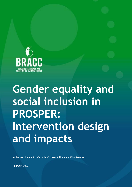

# **Gender equality and social inclusion in PROSPER: Intervention design and impacts**

Katharine Vincent, Liz Venable, Colleen Sullivan and Elliot Meador

February 2022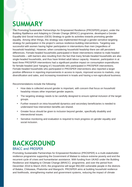# **SUMMARY**

The Promoting Sustainable Partnerships for Empowered Resilience (PROSPER) project, under the Building Resilience and Adapting to Climate Change (BRACC) programme, developed a Gender Equality and Social Inclusion (GESI) Strategy to guide its activities towards promoting gender equality. Among other things, this strategy was implemented through a gender-sensitive targeting strategy for participation in the project's various resilience-building interventions. Targeting was successful with women having higher participation in interventions than men (regardless of household headship). However, when considering household headship there are still persistent differences. Female-headed households participated in fewer interventions relative to male-headed households – with barriers also resulting from the fact that many female-headed households are also single-headed households, and thus have limited adult labour capacity. However, participation in at least three PROSPER interventions had a significant positive impact on consumption expenditures for female-headed (and 'hanging in') households who participated in PROSPER interventions. Female-headed households who participated in PROSPER interventions also reported a larger positive difference in reporting improvements in access to inputs, improved access to markets, crop diversification and sales, and increasing investment in kraals and having a non-agricultural business.

Recommendations include the following:

- How data is collected around gender is important, with concern that focus on household headship misses other important gender aspects.
- The targeting strategy needs to be carefully designed to ensure optimal inclusion of the target groups.
- Further research on intra-household dynamics and secondary beneficiaries is needed to understand how intervention benefits are shared.
- Greater focus should be given to inclusion beyond gender, specifically disability and intersectional issues.
- Sensitive monitoring and evaluation is required to track progress on gender equality and social inclusion.

# **BACKGROUND** BRACC and PROSPER

Promoting Sustainable Partnerships for Empowered Resilience (PROSPER) is a multi-stakeholder resilience programme supporting the Government of Malawi to reduce extreme poverty and end the recurrent cycle of crises and humanitarian assistance. With funding from UKAID under the Building Resilience and Adapting to Climate Change (BRACC) programme, and over the period from December 2018 to March 2023, the programme will target 950,000 vulnerable people in the districts of Balaka, Chikwawa, Phalombe and Mangochi. PROSPER aims at building household resilience and livelihoods, strengthening market and government systems, reducing the impact of climate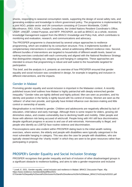shocks, responding to seasonal consumption needs, supporting the design of social safety nets, and generating evidence and knowledge to inform government policy. The programme is implemented by a joint NGO, private sector and UN consortium consisting of Concern Worldwide, CUMO Microfinance, FAO, GOAL, Kadale Consultants, the United Nations Resident Coordinator's Office, UNDP, UNICEF, United Purpose, and WFP. PROSPER, as well as BRACC as a whole, receives knowledge management support from the BRACC Knowledge and Policy Hub, which contributes to monitoring and evaluation, research, and communications and advocacy.

The PROSPER programme is characterised by several unique approaches to resilience programming, which are enabled by its consortium structure. First, it implements bundles of complementary interventions in communities, aimed at addressing different resilience risks. Second, different bundles of interventions are targeted to households of different wealth levels, based on ranking exercises conducted with each community and aligned with the National Resilience Strategy that distinguishes stepping out, stepping up and hanging in categories. These approaches are intended to ensure that programming is robust and well suited to the households targeted for participation.

This brief, and the analysis in it, presents an overview of how PROSPER ensured that gender equality and social inclusion was considered in design, for example in targeting and inclusion in different interventions, and the impacts.

### Gender in Malawi

Promoting gender equality and social inclusion is important in the Malawian context. A recently published issues brief outlines how Malawi is highly patriarchal with deeply entrenched gender inequality.<sup>1</sup> Gender roles are tightly defined and highly policed. Men are seen as providers, and his identity and position in the family is tightly bound with his control of money. Women are seen as the 'utilisers' of what men provide, and typically have limited influence over decision-making and little control or ownership of assets.

Marginalisation is not limited to gender. Children and adolescents are negatively affected by lack of education, child labour and early marriage. Although there is some respect for elders, growing old diminishes status, and creates vulnerability due to declining health and mobility. Older people and those with albinism risk being accused of witchcraft. People living with HIV still face discrimination, despite significant progress in access to and use of anti-retrovirals. Homosexuality is illegal, and people who identify as LGBTQI face routine violence and discrimination.

Preconceptions were also evident within PROSPER dating back to the initial wealth ranking exercises, where women, the elderly and people with disabilities were typically categorised in the most vulnerable hanging in category. This was also the case for people with disabilities, who are typically viewed through the 'charity model' in which they are seen to be given resources rather than participating in projects.

# PROSPER's Gender Equality and Social Inclusion Strategy

PROSPER recognises that gender inequality and lack of inclusion of other disadvantaged groups is a significant obstacle to resilience-building, and aims to take a gender-responsive and inclusive

<sup>1</sup> Lovell, E. 2021. Gender equality, social inclusion and resilience in Malawi. BRACC Discussion Paper, 45p. https://www.resilience.mw/sites/default/files/2021-

<sup>07/</sup>Gender%20equality%20social%20inclusion%20and%20resilience%20in%20Malawi\_BRACC%20July%202021.pdf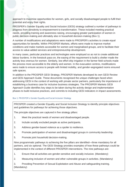approach to maximise opportunities for women, girls, and socially disadvantaged people to fulfil their potential and enjoy their rights.

PROSPER's Gender Equality and Social Inclusion (GESI) strategy outlined a number of pathways to progress from sensitivity to empowerment to transformation. These included meeting practical needs, providing training and awareness raising, encouraging greater participation of women in public decision-making and ultimately also in household decision-making (Box 1).

A number of modifications and adaptations were made to PROSPER's activities to create equal opportunities for benefits. Within PROSPER Markets, efforts were made to improve market conditions and make markets accessible for women and marginalised groups, and to facilitate their access to value-added services and entrepreneurship development.

In many cases, particular practices and technologies were employed so as not to create additional labour burdens. In the livestock pass-on, the easing of the requirement to build a shelter made the activity less onerous for women. Similarly, low effort drip irrigation in the farmer field schools made the process more accessible to the elderly and women. In the evacuation centres, modifications were made to ensure access to people with limited mobility, and gender-segregated rooms ensured safe spaces.

In addition to the PROSPER GESI Strategy, PROSPER Markets developed its own GESI Review and GESI Approach Guide. These documents recognised the unique challenges faced when addressing GESI in the context of working with private sector partners, particularly the importance of establishing a business case for inclusive business strategies. The PROSPER Markets GESI Approach Guide identifies key steps to be taken during the activity design and implementation phases to build inclusive practices, and commits to including GESI indicators in impact assessments.

#### *Box 1: PROSPER's Gender Equality and Social Inclusion Strategy*

PROSPER created a Gender Equality and Social Inclusion Strategy to identify principle objectives and guidelines for pathways for achieving those objectives.

The principle objectives are captured in five strategy pillars:

- 1. Meet the practical needs of women and disadvantaged people.
- 2. Include socially excluded people as active participants.
- 3. Address gender-based violence as a spoiler to resilience.
- 4. Promote participation of women and disadvantaged groups in community leadership.
- 5. Promote joint household decision-making.

Nine programmatic pathways to achieving the five pillars are identified—three mandatory for all partners, and six optional. The GESI Strategy provides examples of how these pathways could be implemented in the context of different PROSPER interventions. The nine pathways are:

1. Ensure that all activities are gender-sensitive and socially inclusive. (Mandatory)

2. Measuring inclusion of women and other vulnerable groups in activities. (Mandatory)

3. Providing Prevention of Sexual Exploitation and Abuse and safeguarding training. (Mandatory)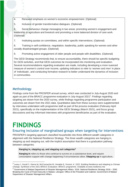4. Renewed emphasis on women's economic empowerment. (Optional)

5. Inclusion of gender transformative dialogues. (Optional)

6. Social behaviour change messaging in two areas: promoting women's engagement and leadership in agriculture and livestock and promoting a more balanced division of care work. (Optional)

7. Instituting quotas on committees, and within specific interventions. (Optional)

8. Training in self-confidence, negotiation, leadership, public speaking for women and other socially disadvantaged groups. (Optional)

9. Promoting active engagement of older people and people with disabilities. (Optional)

The GESI Strategy recommends that, to ensure accountability, there should be specific budgeting for GESI activities, and that GESI outcomes be incorporated into monitoring and evaluation. Several recommendations regarding evaluation are made, including developing a more nuanced measure of women's control over income, updating indicators to refer to 'women and men' in place of 'individuals', and conducting formative research to better understand the dynamics of inclusion in communities.

# Methodology

Findings come from the PROSPER annual survey, which was conducted in July-August 2020 and again as part of the BRACC programme evaluation in July-August 2021<sup>2</sup>. Findings regarding targeting are drawn from the 2020 survey, while findings regarding programme participation and outcomes are drawn from the 2021 data. Quantitative data from these surveys were supplemented by interviews undertaken with programme staff as part of the process evaluation (February-April 2021), specifically on the implementation of the GESI Strategy (March 2021), and focus group discussions and key informant interviews with programme beneficiaries as part of the evaluation.

# **FINDINGS**

# Ensuring inclusion of marginalised groups when targeting for interventions

PROSPER's targeting approach classified households into three different wealth categories in alignment with the National Resilience Strategy. The three wealth categories are hanging in, stepping up and stepping out, with the implicit assumption that there is a graduation pathway between categories.

**Hanging in, stepping up, and stepping out categories<sup>3</sup>**

**Hanging in** refers to those who continue to survive on a subsistence level, and require consumption support with change happening if circumstances allow. **Stepping up** in agriculture,

 $2$  Leavy J, Gould C, Klema M, McConnachie M, Venable E, Vincent, K. 2022. Building Resilience and Adapting to Climate Change. Synthesis of the 2021 BRACC Evaluation. BRACC programme. Available at www.resilience.mw

<sup>3</sup> Government of Malawi Department of Disaster Management Affairs. 2018. National Resilience Strategy 2018 – 2030. Breaking the Cycle of Food Insecurity in Malawi. Lilongwe: Office of the President and Cabinet, Government of Malawi Department of Disaster Management Affairs.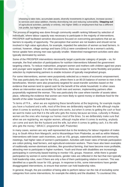choosing to take risks, accumulate assets, diversify investments in agriculture, increase access to services and value addition, thereby diversifying risk and reducing vulnerability. **Stepping out** of agricultural activities, partially or entirely, into higher SMEs or employment that has a different risk profile, but higher return.

The process of targeting was done through community wealth ranking followed by selection of individuals, where labour capacity was necessary to participate in the majority of interventions. PROSPER staff facilitated sensitive discussions focused on overcoming perceptions that act as barriers to equality of opportunity. The perception that women are not leaders and should not be involved in high value agriculture, for example, impeded the selection of women as lead farmers. In contrast, however, village savings and loans (VSLs) were considered to be a woman's activity, hence uptake here among men was typically smaller. Watershed management activities were also typically dominated by women.

Some of the PROSPER interventions necessarily target a particular category of people – so, for example, the final selection of participations for nutrition interventions followed the government targeting criteria. To reduce malnutrition, pregnant women and mothers with children aged two years and younger were targeted. For other interventions, there was scope for some flexibility and positive selection by implementing partners to enable inclusion of typically marginalised groups.

For some interventions, women were purposively selected as a means of economic empowerment. This was particularly the case for the VSLs, where there is an 80:20 balance of women to men in the beneficiaries. Women were also proactively targeted for asset-transfer activities based on the evidence that women tend to spend cash for the benefit of the whole household. In other cases where an intervention was accessible for both men and women, implementing partners often purposefully registered the woman. This was particularly the case where transfer of assets takes place, reflecting the evidence that women are more likely to spend money or distribute food for the benefit of the wider household than men.

*"In terms of FFA… when we are registering these beneficiaries at the beginning, for example maybe you have a husband and a wife, most of the times we deliberately register the wife although maybe when it comes to working it is the husband who works, but when it comes to getting the cash or food we want to make sure that it is the wife who gets the money because we know, culturally in Malawi, women are the ones who manage our homes most of the times. So we deliberately make sure that when we are registering, we register women, although maybe when it comes to working, anybody can come and work like the husband and the wife, but when it comes to getting cash, it is the wife who gets the money." (BRACC programme staff, Phalombe)*

In many cases, women are very well represented due to the tendency for labour migration of males (e.g. to South Africa from Mangochi, and to Mozambique from Phalombe, as well as within Malawi). Interventions with lower cash incentives, such as VSL groups, watershed activities and community meetings, had higher rates of women's participation. Activities with lower rates of female participation are cotton picking, lead farmers, and agricultural extension workers. There have also been examples of traditionally women-dominant activities, like groundnut farming, that have become more profitable, attracting men to participate in higher numbers. Youth and those with disabilities are increasingly participating in community-based training to monitor VSL groups. However, while there is greater participation by women in some interventions, gender roles are reflected in the fact that men typically hold leadership roles, even if there are only a few of them participating relative to women. This was identified as a specific issue for VSL groups. In response to this, some interventions have gender disaggregated interventions, to ensure that women can hold leadership roles.

In general, though, the pre-condition of being able to perform labour ran the risk of excluding some categories from some interventions, for example the elderly and the disabled. To counteract this,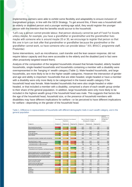implementing partners were able to exhibit some flexibility and adaptability to ensure inclusion of marginalised groups, in line with the GESI Strategy. To get around this, if there was a household with an elderly or disabled person and a younger working-age adult, they would register the younger person with the intention that the benefits would accrue to the household.

*"Let's say a person cannot provide labour, that person obviously cannot be part of Food For Assets unless maybe, for example, you have a grandfather or grandmother and the grandmother lives maybe with someone who is around maybe 20 or 30, we encourage to register that person so that this one in turn can look after that grandmother or grandfather because the grandmother or the grandfather cannot work, so have someone who can provide labour." (KII, BRACC programme staff, Phalombe)*

Some interventions, such as microfinance, cash transfer and the lean season response, did not require labour capacity and thus were accessible to the elderly and the disabled (and in fact were often proactively targeted toward them).

Analysis of the composition of the targeted households showed that female-headed, elderly headed households, single-headed households and households containing a member with a disability were overrepresented in the 'hanging in' wealth category (Table 1). Male-headed households, and large households, are more likely to be in the higher wealth categories. However the intersection of gender and age and ability is important: households that are elder-headed, single-headed or have a member with a disability were only more likely to be categorised in the lowest wealth category if the household head was female. Male-headed households that were also single-headed or elder headed, or that included a member with a disability, comprised a share of each wealth group similar to their share of the general population. In addition, large households were only more likely to be included in the highest wealth group if the household head was male. This suggests that factors like the age of the household head, household size, or the presence of household members with disabilities may have different implications for welfare—or be perceived to have different implications for welfare—depending on the gender of the household head.

|                                                | Percentage Point Deviation From General | Share of Wealth Category, By<br>Demographic Category | Share of<br>Population, by<br>Demographic<br>Category |            |             |              |     |
|------------------------------------------------|-----------------------------------------|------------------------------------------------------|-------------------------------------------------------|------------|-------------|--------------|-----|
| Categories                                     | Hanging In                              | Stepping Up                                          | Stepping Out                                          | Hanging In | Stepping Up | Stepping Out |     |
|                                                |                                         |                                                      |                                                       |            |             |              |     |
| Male-Headed Households                         | $-10%$                                  | 5%                                                   | 6%                                                    | 54%        | 69%         | 70%          | 64% |
| Female-Headed Households                       | 10%                                     | $-5%$                                                | $-6%$                                                 | 46%        | 31%         | 30%          | 36% |
| Youth-Headed                                   | 0%                                      | 0%                                                   | $-4%$                                                 | 8%         | 8%          | 4%           | 8%  |
| Prime-age Headed                               | $-6%$                                   | 3%                                                   | 2%                                                    | 72%        | 80%         | 79%          | 77% |
| Elder-Headed                                   | 6%                                      | $-3%$                                                | 2%                                                    | 20%        | 11%         | 16%          | 15% |
| Household includes a member with a disability  | 3%                                      | $-1%$                                                | $-5%$                                                 | 36%        | 31%         | 28%          | 32% |
| Household head is single                       | 11%                                     | $-5%$                                                | $-8%$                                                 | 40%        | 23%         | 21%          | 28% |
| Household head is single and female            | 10%                                     | $-5%$                                                | $-8%$                                                 | 36%        | 21%         | 18%          | 26% |
| Household head is single and male              | 1%                                      | $-1%$                                                | 0%                                                    | 3%         | 2%          | 3%           | 2%  |
| Household size 6 or greater                    | $-4%$                                   | 1%                                                   | 12%                                                   | 34%        | 39%         | 50%          | 38% |
| Household size 6 or greater, and female-headed | 1%                                      | $-1%$                                                | 1%                                                    | 12%        | 10%         | 12%          | 11% |
| Female-headed and has a disabled member        | 5%                                      | $-2%$                                                | $-5%$                                                 | 18%        | 11%         | 8%           | 13% |
| Male-headed and has a disabled member          | $-2%$                                   | 1%                                                   | 0%                                                    | 17%        | 20%         | 19%          | 19% |
| Female-headed and has no disabled member       | 5%                                      | $-3%$                                                | $-1%$                                                 | 27%        | 20%         | 22%          | 22% |
| Male-headed and has no disabled member         | $-8%$                                   | 4%                                                   | 5%                                                    | 37%        | 49%         | 51%          | 45% |
| Female and elder-headed                        | 6%                                      | $-3%$                                                | $-2%$                                                 | 13%        | 4%          | 6%           | 7%  |
| Male and elder-headed                          | 0%                                      | 0%                                                   | 3%                                                    | 7%         | 7%          | 11%          | 7%  |
| Female and prime-age headed                    | 4%                                      | $-2%$                                                | $-3%$                                                 | 29%        | 23%         | 23%          | 25% |
| Male and prime-age headed                      | $-10%$                                  | 5%                                                   | 4%                                                    | 42%        | 57%         | 57%          | 52% |
| Balaka                                         | 2%                                      | $-1%$                                                | $-3%$                                                 | 22%        | 19%         | 18%          | 20% |
| Chikwawa                                       | $-5%$                                   | 1%                                                   | $-1%$                                                 | 18%        | 24%         | 22%          | 23% |
| Mangochi                                       | 5%                                      | $-2%$                                                | $-5%$                                                 | 40%        | 33%         | 30%          | 35% |
| Phalombe                                       | $-3%$                                   | 0%                                                   | 8%                                                    | 20%        | 23%         | 31%          | 23% |

*Table 1. Difference in representation of households with different demographic traits in each wealth category, and in the general population*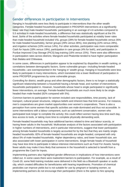# Gender differences in participation in interventions

Hanging in households were less likely to participate in interventions than the other wealth categories. Female-headed households participated in PROSPER interventions at a significantly lower rate than male-headed households: participating in an average of 4.6 activities compared to 5.5 activities in male-headed households, a difference that was statistically significant at the 5% level. Some of the activities where female-headed households participated at notably lower rates than male-headed household included VSL groups (28% for female-headed households versus 35% for male-headed households), farmer groups (29% versus 36%), tree planting (22% versus 28%), and irrigation schemes (10% versus 14%). For other activities, participation was more comparable: Cash for Inputs (18% versus 19%), participation in care groups (4% for both), and participation in Purdue Improved Crop Storage (PICS) bag training (16% versus 15%). There were also differences in participation rates across districts; Mangochi and Phalombe tended to have higher participation than Balaka and Chikwawa.

In some cases, differences in participation appear to be explained by disparities in wealth ranking, or correlations between demographic factors. Some vulnerable groups—including female-headed households—are overrepresented in the 'hanging in' wealth group. Hanging in households were less likely to participate in many interventions, which translated into a lower likelihood of participation in some PROSPER programmes by some vulnerable groups.

Controlling for district, wealth group and other demographic factors, there is no longer a statistically significant relationship between a household having a female head, and number of interventions households participated in. However, households whose head is single participated in significantly fewer interventions, on average. Female-headed households are much more likely to be single headed than male-headed (82% compared with 5%).

Common barriers to participation for women included care responsibilities, time poverty, lack of transport, cultural power structures, religious beliefs and inherent bias that limit access. For instance, men's cooperatives are given market opportunities over women's cooperatives. There is also a perception from some women that specific activities are male-dominated and thus not accessible. In some interventions with a labour component, such as catchment conservation, women who participated took longer to complete the activity; this could reflect women having less time each day, less access to tools, or taking more time to complete physically demanding work.

Female-headed households may face additional barriers related to time and labour scarcity, or having fewer adults in the household. Multivariate analysis of the factors associated with participation in higher numbers of interventions, and in particular interventions, suggest that lower participation among female-headed households is largely accounted for by the fact that they are mainly single headed households: 82% of female-headed households are single-headed, compared with only about 5% of male-headed households. Higher dependency ratios, and lower household size, are also associated with lower participation in some interventions. Single female heads of household may have less time to participate in labour-intensive interventions such as Food For Assets; having fewer adults may make it less likely that someone in the household is selected to benefit from a programme like Cash for Inputs.

Implementing partners also highlighted gender differences in implications of how interventions were rolled out. In some cases there were inadvertent barriers to participation. For example, as a result of Covid-19, some field training modules were delivered in the field via a Bluetooth speaker or audio clip, which created difficulties for beneficiaries with hearing impediments. Promotion of chemical pesticides can improve yields but is not suitable for use by pregnant or lactating women, so implementing partners do not encourage their participation (there is the option to hire spraying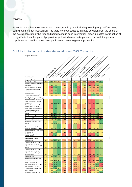#### services).

Table 2 summarises the share of each demographic group, including wealth group, self-reporting participation in each intervention. The table is colour-coded to indicate deviation from the share of the overall population who reported participating in each intervention; green indicates participation at a higher rate than the general population, yellow indicates participation on par with the general population, and red indicates lower participation than the general population

#### *Table 2. Participation rates by intervention and demographic group, PROSPER interventions*

| Program (PROSPER)                                       |     |                        |     |          |             |                                |                      |     |                                                                 |                                                            |     |     |     |          |
|---------------------------------------------------------|-----|------------------------|-----|----------|-------------|--------------------------------|----------------------|-----|-----------------------------------------------------------------|------------------------------------------------------------|-----|-----|-----|----------|
|                                                         |     |                        |     |          |             |                                |                      |     |                                                                 |                                                            |     |     |     |          |
|                                                         |     |                        |     |          |             |                                |                      |     |                                                                 |                                                            |     |     |     |          |
|                                                         |     |                        |     |          |             |                                |                      |     |                                                                 |                                                            |     |     |     |          |
|                                                         |     |                        |     |          |             |                                |                      |     |                                                                 |                                                            |     |     |     |          |
|                                                         |     |                        |     |          |             |                                |                      |     |                                                                 |                                                            |     |     |     |          |
|                                                         |     |                        |     |          |             |                                |                      |     |                                                                 |                                                            |     |     |     |          |
|                                                         |     |                        |     |          |             |                                |                      |     |                                                                 |                                                            |     |     |     |          |
|                                                         |     |                        |     |          |             |                                |                      |     |                                                                 |                                                            |     |     |     |          |
|                                                         |     |                        |     |          |             |                                |                      |     |                                                                 |                                                            |     |     |     |          |
|                                                         |     |                        |     |          |             |                                |                      |     |                                                                 |                                                            |     |     |     | Phalombe |
| <b>PROSPER Activities</b>                               |     | Oreclived the operator |     | Separeup | Steppineous | Lender Robert de Conseil de la | Side Prezed November |     | Electric Register of British Register<br>Louthwealth (metaldis) | Level of the Mill of the Party of Mill of the Party of the |     |     |     |          |
| <b>Hanging In Targeted</b>                              |     |                        |     |          |             |                                |                      |     |                                                                 |                                                            |     |     |     |          |
| Food for Assets FFA                                     | 24% | 33%                    | 25% | 20%      | 23%         | 22%                            | 25%                  | 21% | 23%                                                             | 10%                                                        | 6%  | 24% | 42% |          |
| Accessed crop yield or weather                          |     |                        |     |          |             |                                |                      |     |                                                                 |                                                            |     |     |     |          |
| insurance                                               | 2%  | 3%                     | 3%  | 3%       | 1%          | 1%                             | 5%                   | 1%  | 3%                                                              | 0%                                                         | 0%  | 4%  | 3%  |          |
| Membership in a care group                              | 4%  | 2%                     | 7%  | 7%       | 4%          | 3%                             | 7%                   | 2%  | 4%                                                              | 5%                                                         | 3%  | 3%  | 6%  |          |
| Participation in care group                             |     |                        |     |          |             |                                |                      |     |                                                                 |                                                            |     |     |     |          |
| activities                                              | 4%  | 2%                     | 6%  | 7%       | 3%          | 2%                             | 6%                   | 1%  | 3%                                                              | 3%                                                         | 3%  | 3%  | 6%  |          |
| VSL groups Bank                                         | 35% | 30%                    | 42% | 43%      | 28%         | 26%                            | 32%                  | 27% | 32%                                                             | 34%                                                        | 38% | 32% | 36% |          |
| Participation in a mother's group                       | 3%  | 3%                     | 3%  | 3%       | 3%          | 3%                             | 1%                   | 2%  | 2%                                                              | 1%                                                         | 4%  | 3%  | 2%  |          |
| <b>Stepping Up/Stepping Out Targeted</b>                |     |                        |     |          |             |                                |                      |     |                                                                 |                                                            |     |     |     |          |
| Received livestock in the first                         |     |                        |     |          |             |                                |                      |     |                                                                 |                                                            |     |     |     |          |
| round of a livestock pass-on                            |     |                        |     |          |             |                                |                      |     |                                                                 |                                                            |     |     |     |          |
| programme                                               | 7%  | 5%                     | 13% | 13%      | 5%          | 5%                             | 6%                   | 7%  | 7%                                                              | 3%                                                         | 3%  | 11% | 9%  |          |
| Received livestock passed on                            |     |                        |     |          |             |                                |                      |     |                                                                 |                                                            |     |     |     |          |
| from another household in a                             |     |                        |     |          |             |                                |                      |     |                                                                 |                                                            |     |     |     |          |
| livestock pass-on programme<br>Accessed services from a | 5%  | 3%                     | 8%  | 7%       | 3%          | 3%                             | 5%                   | 3%  | 4%                                                              | 3%                                                         | 2%  | 6%  | 6%  |          |
| Community Animal Health                                 |     |                        |     |          |             |                                |                      |     |                                                                 |                                                            |     |     |     |          |
| Worker                                                  | 5%  | 4%                     | 10% | 8%       | 4%          | 4%                             | 5%                   | 4%  | 6%                                                              | 1%                                                         | 2%  | 8%  | 6%  |          |
| Attended an input fair                                  | 6%  | 4%                     | 11% | 9%       | 7%          | 7%                             | 3%                   | 3%  | 5%                                                              | 1%                                                         | 8%  | 9%  | 5%  |          |
| Received cash for inputs                                | 19% | 18%                    | 28% | 18%      | 18%         | 17%                            | 15%                  | 15% | 19%                                                             | 17%                                                        | 21% | 24% | 12% |          |
| Access microfinance loans                               | 6%  | 5%                     | 8%  | 11%      | 4%          | 4%                             | 6%                   | 6%  | 4%                                                              | 0%                                                         | 1%  | 7%  | 12% |          |
| Participation in an irrigation                          |     |                        |     |          |             |                                |                      |     |                                                                 |                                                            |     |     |     |          |
| scheme                                                  | 14% | 13%                    | 21% | 18%      | 10%         | 10%                            | 14%                  | 12% | 14%                                                             | 4%                                                         | 10% | 12% | 23% |          |
|                                                         |     |                        |     |          |             |                                |                      |     |                                                                 |                                                            |     |     |     |          |
| Purchased or received a treadle                         |     |                        |     |          |             |                                |                      |     |                                                                 |                                                            |     |     |     |          |
| pump or rope and water pump                             | 1%  | 1%                     | 2%  | 3%       | 1%          | 0%                             | 2%                   | 0%  | 1%                                                              | 0%                                                         | 1%  | 1%  | 2%  |          |
| Received training or equipment                          |     |                        |     |          |             |                                |                      |     |                                                                 |                                                            | 1%  |     |     |          |
| for beekeeping<br>Smallholder agricultural market       | 1%  | 1%                     | 1%  | 2%       | 1%          | 0%                             | 1%                   | 1%  | 1%                                                              | 1%                                                         |     | 1%  | 1%  |          |
| systems (SAMS)                                          | 1%  | 0%                     | 2%  | 1%       | 0%          | 0%                             | 1%                   | 0%  | 1%                                                              | 0%                                                         | 0%  | 2%  | 1%  |          |
|                                                         |     |                        |     |          |             |                                |                      |     |                                                                 |                                                            |     |     |     |          |
| <b>Targeted to All Groups</b>                           |     |                        |     |          |             |                                |                      |     |                                                                 |                                                            |     |     |     |          |
| Farmer group                                            | 36% | 32%                    | 54% | 46%      | 29%         | 28%                            | 33%                  | 30% | 35%                                                             | 22%                                                        | 36% | 41% | 39% |          |
| Extension/technical training                            |     |                        |     |          |             |                                |                      |     |                                                                 |                                                            |     |     |     |          |
| with your lead farmer or                                |     |                        |     |          |             |                                |                      |     |                                                                 |                                                            |     |     |     |          |
| extension worker in the last 3<br>months                | 17% | 17%                    | 24% | 30%      | 14%         | 15%                            | 12%                  | 18% | 15%                                                             | 4%                                                         | 7%  | 26% | 23% |          |
| Extension/technical training                            |     |                        |     |          |             |                                |                      |     |                                                                 |                                                            |     |     |     |          |
| with your lead farmer or                                |     |                        |     |          |             |                                |                      |     |                                                                 |                                                            |     |     |     |          |
| extension worker during the last                        |     |                        |     |          |             |                                |                      |     |                                                                 |                                                            |     |     |     |          |
| growing season                                          | 26% | 25%                    | 36% | 42%      | 22%         | 22%                            | 24%                  | 26% | 25%                                                             | 6%                                                         | 14% | 37% | 34% |          |
| Marketing Club                                          | 4%  | 4%                     | 8%  | 6%       | 4%          | 4%                             | 4%                   | 3%  | 4%                                                              | 2%                                                         | 2%  | 7%  | 5%  |          |
| Received information about                              |     |                        |     |          |             |                                |                      |     |                                                                 |                                                            |     |     |     |          |
| nutrition or sanitation                                 | 14% | 14%                    | 20% | 19%      | 11%         | 11%                            | 20%                  | 8%  | 14%                                                             | 5%                                                         | 7%  | 12% | 27% |          |
| Watershed activities                                    | 16% | 16%                    | 22% | 24%      | 12%         | 13%                            | 16%                  | 15% | 15%                                                             | 9%                                                         | 11% | 15% | 24% |          |
| Received training on PICS bags                          | 16% | 12%                    | 27% | 28%      | 15%         | 13%                            | 12%                  | 15% | 17%                                                             | 13%                                                        | 14% | 26% | 9%  |          |
| Received a free PICS bag                                | 17% | 13%                    | 28% | 29%      | 16%         | 15%                            | 14%                  | 15% | 18%                                                             | 15%                                                        | 15% | 26% | 9%  |          |
| Participated in tree planting                           | 28% | 27%                    | 39% | 31%      | 22%         | 21%                            | 25%                  | 23% | 26%                                                             | 16%                                                        | 33% | 27% | 32% |          |
| Radio clubs/PISCA                                       | 2%  | 2%                     | 2%  | 5%       | 1%          | 1%                             | 1%                   | 2%  | 1%                                                              | 1%                                                         | 1%  | 3%  | 2%  |          |
| <b>Integrated Climate Services</b>                      | 11% | 11%                    | 17% | 15%      | 7%          | 8%                             | 9%                   | 9%  | 12%                                                             | 1%                                                         | 11% | 11% | 18% |          |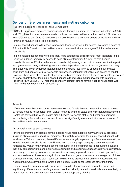# Gender differences in resilience and welfare outcomes

#### *Resilience Index and Resilience Index Components*

PROSPER monitored progress towards resilience through a number of resilience indicators. In 2020 and 2021 these indicators were variously combined to create resilience indices; and in 2021 the Hub team created its own (Hub-7) version of the index, based on theoretical drivers of resilience and the removal of mutually reinforcing indicators.

Female-headed households tended to have had lower resilience index scores, averaging a score of 2.4 on the Hub-7 version of the resilience index, compared with an average of 2.8 for male-headed households.

Female-headed households were less likely to be categorised as resilient for most indicators in the resilience indexes, particularly access to good climate information (31% for female-headed households versus 41% for male-headed households), making a deposit into an account in the past year (26% versus 33%) and having a non-weather dependent source of income (26% versus 27%). The latter was driven by female-headed households being less likely to engage in both irrigated agriculture and non-agricultural household businesses, potentially reflecting less access to capital. However, there were also a couple of resilience indicators where female-headed households performed on par or slightly better than male-headed households, including making investments into future resilience (88% versus 87%); higher resilience investment among female-headed households was driven by higher investment in education (

#### Table 3).

Differences in resilience outcomes between male- and female-headed households were explained by female-headed households' lower wealth rankings and their status as single-headed households. Controlling for wealth ranking, district, single-headed household status, and other demographic factors, being a female-headed household was not significantly associated with worse outcomes for the resilience index components.

#### *Agricultural practices and outcomes*

Among programme participants, female-headed households adopted many agricultural practices, including climate smart agricultural practices, at a slightly lower rate than male-headed households, as shown in Table 4. However, these differences were largely explained by differences in wealth, as female-headed households are more likely to be in the hanging in category than male-headed households. Wealth ranking was much more robustly linked to differences in agricultural practices than any demographic factors examined: stepping up and stepping out households were significantly more likely to report trying new crops or varieties, growing improved varieties, using irrigation; they also adopted more climate smart agriculture practices and grew more crops on average. All of these practices generally require cash resources. Tellingly, one practice not significantly associated with wealth group was early planting, which does not require additional resources other than time.

Once geographic area and wealth group were controlled for, only one demographic group had significantly different adoption of agricultural practices: elderly headed households were less likely to report growing improved varieties, but more likely to adopt early planting.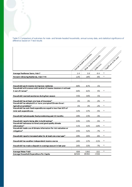*Table 3: Comparison of outcomes for male- and female-headed households, annual survey data, and statistical significance of difference based on T-test results*

|                                                                                           |       | Female yealed households |                       |                        |
|-------------------------------------------------------------------------------------------|-------|--------------------------|-----------------------|------------------------|
|                                                                                           |       |                          | Mae readed households | Significant a 5% level |
|                                                                                           |       |                          |                       |                        |
|                                                                                           |       |                          |                       |                        |
|                                                                                           |       |                          | Difference            |                        |
| Average Resilience Score, Hub-7                                                           | 2.4   | 2.8                      | $-0.4$                |                        |
| Percent Achieving Resilience, Hub-7>=4                                                    | 22%   | 28%                      | $-6%$                 |                        |
| Household spent income to improve resilience                                              | 88%   | 87%                      | 1%                    |                        |
| Household with women with control of income decisions in at least                         |       |                          |                       |                        |
| 3 out of 4 areas*                                                                         | 66%   | 61%                      | 5%                    |                        |
| Household received assistance during lean season                                          | 35%   | 34%                      | 1%                    |                        |
| Household has at least one type of insurance*                                             | 1%    | 3%                       | $-2%$                 |                        |
| Household has adopted 6 or more prompted Climate Smart                                    |       |                          |                       |                        |
| Agriculture practices*                                                                    | 1%    | 3%                       | $-2%$                 |                        |
| Household has cash food expenditures equal to less than 50% of<br>total cash expenditures | 32%   | 37%                      | $-5%$                 |                        |
| Household had adequate food provisioning past 12 months                                   | 20%   | 23%                      | $-3%$                 |                        |
| Household reports being able to build savings*                                            | 14%   | 19%                      | $-5%$                 |                        |
| Household had access to timely and good quality climate<br>information*                   | 31%   | 41%                      | $-10%$                |                        |
| Household made use of dimate information for risk reduction or                            |       |                          |                       |                        |
| mitigation*                                                                               | 45%   | 52%                      | $-7%$                 |                        |
| Household reports increased sales for at least one crop type*                             | 20%   | 26%                      | -6%                   |                        |
| Household has weather-independent income source                                           | 26%   | 37%                      | $-11%$                |                        |
| Household has made a deposit in a savings account in last year                            | 26%   | 33%                      | $-7%$                 |                        |
|                                                                                           |       |                          |                       |                        |
| <b>Average Maize Yield</b>                                                                | 838   | 1060                     | $-222$                | *                      |
| Average Household Expenditure Per Capita                                                  | 82500 | 89700                    | $-7200$               |                        |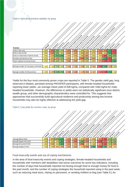#### *Table 4. Agricultural practices adoption, by group*

|                                         |         |     |            |            |             |     |                                                                |     |                                                      |     |     | individual distribution of the world disability |     |           |
|-----------------------------------------|---------|-----|------------|------------|-------------|-----|----------------------------------------------------------------|-----|------------------------------------------------------|-----|-----|-------------------------------------------------|-----|-----------|
|                                         |         |     |            |            |             |     |                                                                |     |                                                      |     |     |                                                 |     |           |
|                                         |         |     |            |            |             |     |                                                                |     |                                                      |     |     |                                                 |     |           |
|                                         |         |     |            |            |             |     |                                                                |     |                                                      |     |     |                                                 |     |           |
|                                         |         |     |            |            |             |     |                                                                |     |                                                      |     |     |                                                 |     |           |
|                                         |         |     |            |            |             |     |                                                                |     |                                                      |     |     |                                                 |     |           |
| <b>Practices</b>                        | Overall |     | Hanging In | Septing UP | Seeping Oux |     | Female Area Books Households<br>Single treated to be transfero |     | Elderty Tree as droughtdes<br>Youthreader indigendes |     |     |                                                 |     | Pinalombe |
| Grew a new crop                         | 28%     | 24% | 34%        | 31%        | 25%         | 25% | 29%                                                            | 27% | 29%                                                  | 25% | 25% | 37%                                             | 22% |           |
| Grew a new variety                      | 28%     | 24% | 33%        | 29%        | 25%         | 26% | 30%                                                            | 26% | 27%                                                  | 25% | 28% | 36%                                             | 21% |           |
| Grew an improved or hybrid variety      | 76%     | 71% | 82%        | 83%        | 73%         | 71% | 73%                                                            | 68% | 77%                                                  | 75% | 58% | 80%                                             | 81% |           |
| Planted starting Oct or Nov             | 47%     | 46% | 44%        | 52%        | 45%         | 47% | 41%                                                            | 53% | 44%                                                  | 47% | 57% | 39%                                             | 50% |           |
| Used irrigation any time of year        | 27%     | 25% | 33%        | 32%        | 23%         | 23% | 28%                                                            | 25% | 26%                                                  | 24% | 17% | 18%                                             | 44% |           |
|                                         |         |     |            |            |             |     |                                                                |     |                                                      |     |     |                                                 |     |           |
|                                         |         |     |            |            |             |     |                                                                |     |                                                      |     |     |                                                 |     |           |
| Average number of crop types cultivated | 2.1     | 2.1 | 2.3        | 2.2        | 2.0         | 2.0 | 2.0                                                            | 2.2 | 2.0                                                  | 1.8 | 2.5 | 2.0                                             | 2.2 |           |
|                                         |         |     |            |            |             |     |                                                                |     |                                                      |     |     |                                                 |     |           |

Yields for the four most commonly grown crops are reported in Table 5. The gender yield gap, long observed in Malawi, persisted among PROSPER participants, with female-headed households reporting lower yields—an average maize yield of 838 kg/ha, compared with 1060 kg/ha for male headed households. However, the differences in yields were not statistically significant once district, wealth group, and other demographic characteristics were controlled for. This suggests that approaches that successfully build agricultural resilience and productivity among low-income households may also be highly effective at addressing the yield gap.

#### *Table 5. Crop yields for common crops, by group*

|                          | Ouerall |     | <b>Hangingin</b> | Septine Up | Septingout |     | Female traded to yestotes | Sime external diversions<br>Youth Reader Koustands | Feberix measurements of | - Households-with a member with a disability |     |      | Mangochi | Phalombe |
|--------------------------|---------|-----|------------------|------------|------------|-----|---------------------------|----------------------------------------------------|-------------------------|----------------------------------------------|-----|------|----------|----------|
| Average Maize Yield      | 998     | 871 | 1216             | 1345       | 838        | 820 | 976                       | 829                                                | 946                     | 829                                          | 583 | 1148 | 1126     |          |
| Average Pigeon Pea Yield | 536     | 530 | 538              | 681        | 419        | 409 | 654                       | 419                                                | 527                     | 338                                          | 372 | 593  | 618      |          |
| Average Groundnut Yield  | 441     | 374 | 445              | 644        | 360        | 394 | 278                       | 443                                                | 438                     | 367                                          | 234 | 517  | 350      |          |
| Average Sorghum Yield    | 726     | 704 | 691              | 640        | 617        | 620 | 712                       | 550                                                | 765                     | 440                                          | 764 | 676  | 712      |          |

#### *Food insecurity events and use of coping mechanisms*

In the area of food insecurity events and coping strategies, female-headed households and households with members with disabilities had worse outcomes for some key indicators, including the number of days that households reported not having enough food or enough money for food in the past month, and the number of coping strategies the household reported using in the past week, such as reducing meal sizes, relying on piecework, or sending children to beg (see Table 6.) As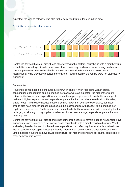expected, the wealth category was also highly correlated with outcomes in this area.



*Table 6. Use of coping strategies, by group*

Controlling for wealth group, district, and other demographic factors, households with a member with a disability reported significantly more days of food insecurity, and more use of coping mechanisms over the past week. Female-headed households reported significantly more use of coping mechanisms; while they also reported more days of food insecurity, the results were not statistically significant.

#### *Consumption*

Household consumption expenditures are shown in Table 7. With respect to wealth group, consumption expenditures and expenditure per capita were as expected: the higher the wealth category, the higher cash expenditure and expenditure per capita were. Households in Mangochi had much higher expenditure and expenditure per capita than the other three districts. Female-, single-, youth- and elderly headed households had lower than average expenditure, but these groups also have smaller household sizes, so the discrepancies with respect to expenditure per capita were less severe. On the other hand, households that have a member with a disability tend to be larger, so although this group had total expenditures near average, expenditure per capita was relatively low.

Controlling for wealth group, district and other demographic factors, female-headed households have significantly lower expenditure per capita, as do households with a member with a disability. Youth and elderly headed households have lower expenditure, but reflecting their smaller household size, their expenditure per capita is not significantly different from prime-age adult-headed households. Single-headed households have lower expenditure, but higher expenditure per capita, controlling for other demographic factors.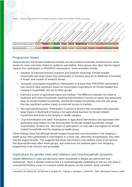

*Table 7. Value of household consumption and per capita consumption, MKW, by group*

### Programme Impact

Despite the fact that female-headed households and the poorest households tended to have worse results for many outcomes related to resilience and welfare, these groups also often had the largest impacts from participation in PROSPER interventions. Some examples include:

- Adoption of improved livestock practices and livestock ownership: Female-headed households saw large impact from participation in livestock pass-on on likelihood of investing in kraals, and number of livestock owned.
- Increased consumption expenditure: Participation in at least three PROSPER interventions was found to have significant impact on consumption expenditures for female-headed and hanging in households, but not for other groups.
- Improved access to agricultural inputs and markets: The difference between the share of treatment and control households reporting improvements in access to inputs was particularly large for female-headed households, and female-headed households were the only group that saw significant positive impact in improved access to markets.
- Non-agricultural business: Participation in access to finance was associated with especially large impact on likelihood of having a non-agricultural business for female-headed households and those in the hanging in wealth category.
- Crop diversification and sales: Participation in agricultural interventions was associated with particularly large impact on crop diversification for female-headed households, though diversification remains low, and impact of participation on crop sales was highest for female headed households and the stepping up wealth group.

These findings show that although female-headed households and households in the hanging in wealth group often participated in interventions at a lower rate, when they did participate, they often saw the largest benefits. This suggests that these interventions may address some of the barriers that disproportionately affect these groups, and underscore the potential gains from designing programmes to be inclusive and accessible.

# Implications for gender roles and relations and intra-household dynamics

Gender differences in roles and decisions within households in Malawi are well-known and widespread. There is already evidence that it is methodologically challenging to ask any one adult in a household whether a man or a woman makes decisions, as the answers rarely correlate.<sup>4</sup>

<sup>4</sup> Acosta M, van Wessel M, van Bommel S, Ampaire EL, Twyman J, Jassogne L, Feindt PH., 2020. What does it mean to make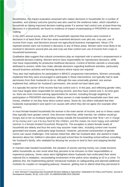Nonetheless, the impact evaluation assessed who makes decisions in households for a number of variables, and a binary outcome (yes/no) was also used for the resilience index, which classified a household as having improved decision-making power if a women had control over at least three key decisions in a household, we found no evidence of impact of participating in PROSPER on decision making.

In the 2021 annual survey, about 63% of households reported that women were involved in decisions in at least three of the four areas examined decisions over plot use, crop use, use of income from crops, and decisions around non-agricultural business management. About 17% reported women were not involved in decisions in any of these areas. Women were more likely to be involved in decisions around plot use and crop use than control over use of income from crops or household businesses.

Qualitative data suggest that cultural conventions play an important role in women's empowerment in household decision-making. Women tend to have responsibility for reproductive decisions, while men have responsibility for productive livelihood decisions. Control of kitchen utensils is universally attributed to women; while men make ultimate decisions regarding livelihood activities, particularly around business activities and farming decisions where inputs are required.

They also had implications for participation in BRACC programme interventions. Women universally explained that they were encouraged to participate in these interventions, but typically had to seek permission from their husbands to do so. Although this was universally granted, one woman explained that, without her husband's permission, she would not have taken part.

It is typically the earner of the income that has control over it. In the past, and reflecting gender roles, men have largely been responsible for earning income, and thus have control over it. As time goes on, there are more income-earning opportunities for women, including through targeting for participation in PROSPER interventions. When women in male-headed households earn their own money, whether or not they have direct control varies. Some do, but others indicated that their husbands expropriated it and spent it on causes with which they did not agree (for example other women).

In most female-headed households the woman is the main earner of income, and so in these cases they typically have greater control. One divorcee noted that, while married, her children would go hungry due to her ex-husband spending money outside the household but that "*Now I am in charge of my money and I use it to buy food for the children, and this makes me more happy and satisfied" (woman in a female-headed household, Mangochi*). The exception is where female heads of household are elderly and thus the sons may assume 'male roles', including control over income generated and assets, particularly large livestock. However, perceived contravention of gender norms can cause challenges. One woman noted that, after her husband died, she started to make decisions about her children's education and paid school fees for boarding school without consulting her husband's family, who retaliated by denying her access to land to farm and stopping familial support.

In married male-headed households, the situation of women earning money can create tensions within households as men resist what they perceive to be intrusion on their responsibilities or experience jealousy. Some cases were highlighted where husbands had confiscated their wives' national IDs in retaliation, necessitating involvement of the police since stealing an ID is a crime. To address this, the implementing partner introduced modules on safeguarding and planned additional modules for couples on navigating jealousy. However, getting men to attend what they perceived to

a 'Joint' Decision? Unpacking Intra-household Decision Making in Agriculture: Implications for Policy and Practice, Journal of Development Studies, 56 (6), 1210-1229. 10.1080/00220388.2019.1650169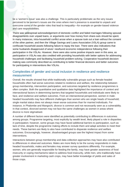be a 'women's issue' was also a challenge. This is particularly problematic as the very issues perceived to be women's issues are the ones where men's presence is essential to unpack and overcome some of the gender roles that lead to inequality—for example on gender-based violence and care responsibilities.

There was widespread acknowledgement of domestic conflict and failed marriages following spousal disagreements over unpaid loans, or arguments over how money from share-outs should be spent. In many instances, intra-household conflict arose when a spouse took out a loan without the consent of the other partner, and then the Village Savings and Loans Association (VSLA) group came to confiscate household assets following failure to repay the loan. There were also indications that some husbands disapproved of wives' newfound economic independence following their participation in the VSLAs. However, there were also some positive impacts seen in this area, as participation in VSLAs was also credited with providing households with better options for addressing household challenges and facilitating household problem-solving. Cooperative household decision making was commonly described as contributing to better financial decisions and better outcomes for participating in interventions like VSLAs.

### Complexities of gender and social inclusion in resilience and resilience measurement

Overall, the results showed that while traditionally vulnerable groups such as female-headed households often had worse outcomes related to resilience and welfare, the relationship between group membership, intervention participation, and outcomes targeted by resilience programmes is often complex. Both the quantitative and qualitative data highlighted the importance of context and intersectional factors in determining barriers that targeted households and individuals were likely to face, and resilience and welfare outcomes. From an intersectional perspective, women in male headed households may face different challenges than women who are single heads of household; single marital status does not always mean worse outcomes than for married individuals. For instance, in Phalombe and Mangochi, divorce is common and not necessarily seen as a vulnerability. In that context, divorced women may not face the same challenges as women in areas where divorce is more stigmatised.

A number of different factors were identified as potentially contributing to differences in outcomes among groups. Programme targeting, most explicitly by wealth level, likely played a role in disparities in participation; however, some groups may have faced additional barriers to participation, such as lack of time, despite the programme making efforts to include them and adapt activities to meet their needs. These barriers are likely to also have contributed to disparate resilience and welfare outcomes. Encouragingly, however, disadvantaged groups saw the highest impact from some interventions.

Interactions between group membership and data collection approaches may have also contributed to differences in observed outcomes. Males are more likely to be the survey respondents in male headed households; males and females may answer survey questions differently. For example, women, who are generally responsible for feeding the family, may have greater awareness of food insecurity or coping mechanisms taken to address food insecurity, while men, who traditionally have greater involvement in marketing cash crops, may have better knowledge of yields and sales of those crops.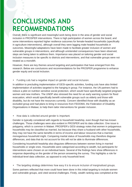# **CONCLUSIONS AND RECOMMENDATIONS**

Overall, there is significant and meaningful work being done in the area of gender and social inclusion in PROSPER interventions. There is high participation of women across the board, and some interventions reported higher resilience outcomes for female-headed households (specifically in agriculture interventions), although overall they were lagging male-headed households in outcomes. Meaningful adaptations have been made to facilitate greater inclusion of women and vulnerable groups in interventions, and although unintended consequences have been observed, steps are being taken to address them. Importance was placed on tailoring gender and social inclusion measures to be specific to districts and interventions, and that vulnerable groups were not treated as a monolith.

However, there are key themes around targeting and participation that have emerged from this research. Below are conclusions and recommendations for the PROSPER programme to enhance gender equity and social inclusion.

#### *Funding cuts had a negative impact on gender and social inclusion*.

In addition to precluding implementation of GESI-specific activities, funding cuts have also limited implementation of activities targeted to the hanging in group. For instance, the UN partners had to reduce a pilot on nutrition sensitive social protection, which would have specifically targeted pregnant women and new mothers. The UNDP also stressed the need for an early warning system for flood evacuation, which would specifically benefit vulnerable groups such as elderly and those with disability, but do not have the resources currently. Concern identified those with disability as an excluded group and had plans to bring in resources from FEDOMA, the Federation of Disability Organisations in Malawi, to help them tailor interventions for greater inclusion.

#### *How data is collected around gender is important.*

Gender is typically considered with regards to household headship, even though that has known challenges. Those challenges were also evident in PROSPER and its data collection. One issue is polygamy, which is common in Malawi. PROSPER's GESI strategy notes that women in polygamous households may be classified as married, but because they share a husband with other households, they may not have the same benefits in terms of income and labour resources that a married, monogamous household might. Comparing marital status of households may therefore disguise differences, and data that do not account for this will not be able to illuminate differences.

Considering household headship also disguises differences between women living in married households or single ones. Households were categorised according to wealth, but participants for interventions were chosen on an individual basis. Several of the findings here show differences in response depending on the gender of the person answering the survey. This highlights a role for individual-level data collection, as opposed to only household level.

#### *The targeting strategy determines how easy it is to ensure inclusion of marginalised groups.*

Some partners reflected that more could have been done in this initial targeting to include women and vulnerable groups, and cited several challenges. Firstly, wealth ranking was completed at the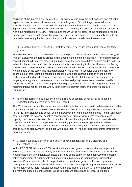beginning of the interventions, before the GESI Strategy was implemented, so there was not yet an explicit focus on inclusion of women and vulnerable groups. Second, targeting was done at household level, meaning that individuals may have been missed. While there is scope to do what implementing partners did and list other household members, this does assume sharing of benefits within the household. PROSPER Markets and the UNDP do not target at the household level, but rather bring resources into areas that may need them. In such cases even more explicit efforts are required to ensure equitable opportunities to participate and benefit from interventions.

#### *The targeting strategy needs to be carefully designed to ensure optimal inclusion of the target groups*.

The wealth ranking exercise (which was completed prior to the finalisation of the GESI Strategy) led to many typically marginalised groups being placed in the hanging in category—for example female headed households, elderly, those with a disability, or households with five or more children with no father. Implementation staff cited this as a mechanism for ensuring inclusion. However, the findings showed that, at least for some resilience outcomes, female-headed households are not always the worst off; and at the same time that participation of hanging in households was generally lower. There is a risk of focusing on household headship when considering inclusion overlooks the particular gendered needs of women and men in households of different headship status. The targeting strategy should be reviewed to ensure that assigning interventions based on wealth categories is consistent with various programme goals, including maximising programme impact by matching interventions to those who will benefit the most from them, and ensuring equity in communities.

#### *Further research on intra-household dynamics and secondary beneficiaries is needed to understand how intervention benefits are shared*.

The 2021 evaluation included some qualitative data collection with women in both female- and male headed households, and provided some illumination of decision-making and the implications of PROSPER participation and benefit sharing. However, more understanding of this—and in particular how to mediate the potential negative consequences of promoting women's decision-making capacity, is important. Likewise, the assumption of benefit sharing within households needs to be unpacked as this is the assumption of implementing partners on targeting individuals within households. Understanding benefit sharing and decision-making, both for women and vulnerable groups such as elderly, youth, and those with disabilities, will help to tailor programme targeting for maximum impact.

#### *Greater focus should be given to inclusion beyond gender, specifically disability and intersectional issues*.

Within PROSPER the primary GESI consideration was on gender, which is vital and important. However, groups such as the elderly and those with disabilities were identified as gaps in all three wealth categories. One interviewee noted that none of the partners chose pathway 9 (promoting active engagement of older people and people with disabilities) in their pathway prioritisation exercise. Greater attention should be paid to inclusion of these groups, either as programme participants or secondary beneficiaries. There have been several positive programme adaptations to make interventions more inclusive for those with disabilities or the elderly. Further adaption of interventions should be encouraged, taking into account context and potential unintended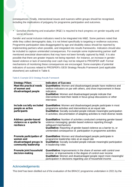consequences. Finally, intersectional issues and nuances within groups should be recognised, including the implications of polygamy for programme participation and outcomes.

#### *Sensitive monitoring and evaluation (M&E) is required to track progress on gender equality and social inclusion*.

Gender and social inclusion indicators need to be integrated into M&E. Some partners noted that while they collect demographic data, it is not linked specifically to targeting or resilience outcomes. Programme participation data disaggregated by age and disability status should be reported by implementing partners when possible, and integrated into results frameworks. Indicators should also be included to capture unintended consequences. For example some implementing partner staff mentioned anecdotal observations that may have not been formally captured by M&E. It is also possible that there are greater impacts not being reported—for instance, an increase in gender based violence or lack of ownership over cash may not be relayed to PROSPER staff. Formal mechanisms of monitoring these consequences are encouraged. Some examples of potential indicators of success related to PROSPER's GESI Strategy Results Framework (and applicable elsewhere) are outlined in Table 8.

#### *Table 8. Example GESI Strategy Results Framework*

| <b>Strategy Pillars</b>                                                                  | <b>Indicators of Success</b>                                                                                                                                                                                                                                                                                         |
|------------------------------------------------------------------------------------------|----------------------------------------------------------------------------------------------------------------------------------------------------------------------------------------------------------------------------------------------------------------------------------------------------------------------|
| Meet the practical needs<br>of women and<br>disadvantaged people                         | Quantitative: Women and disadvantaged people have resilience and<br>welfare indicators on par with others, and show improvement in these<br><i>indicators</i><br>Qualitative: Women and disadvantaged people indicate that<br>interventions meet their needs in focus group discussions or other<br>interviews       |
| Include socially excluded<br>people as active<br>participants                            | <b>Quantitative:</b> Women and disadvantaged people participate in most<br>programme activities and interventions at an equal rate<br>Qualitative: Socially excluded people indicate meaningful participation<br>in activities; documentation of adapting activities to meet diverse needs                           |
| <b>Address gender-based</b><br>violence as a spoiler to<br>resilience                    | <b>Quantitative:</b> Number of activities conducted containing gender-based<br>violence messaging; gender-based violence reporting through<br>safeguard mechanisms<br><b>Qualitative:</b> Reporting of gender-based violence as a barrier to, or<br>unintended consequence of, participation in programme activities |
| Promote participation of<br>women and<br>disadvantaged groups in<br>community leadership | Quantitative: Women and disadvantaged people participate in<br>programme leadership roles at an equal rate<br>Qualitative: Socially excluded people indicate meaningful participation<br>in leadership roles                                                                                                         |
| Promote joint household<br>decision-making                                               | Quantitative: Improvements in the share of women with control over<br>income, or improvements in the degree of control over income<br>Qualitative: Women and disadvantaged people report more meaningful<br>participation in decisions regarding use of household income                                             |

#### Acknowledgements

This brief has been distilled out of the evaluation of the BRACC programme undertaken in 2021 by the